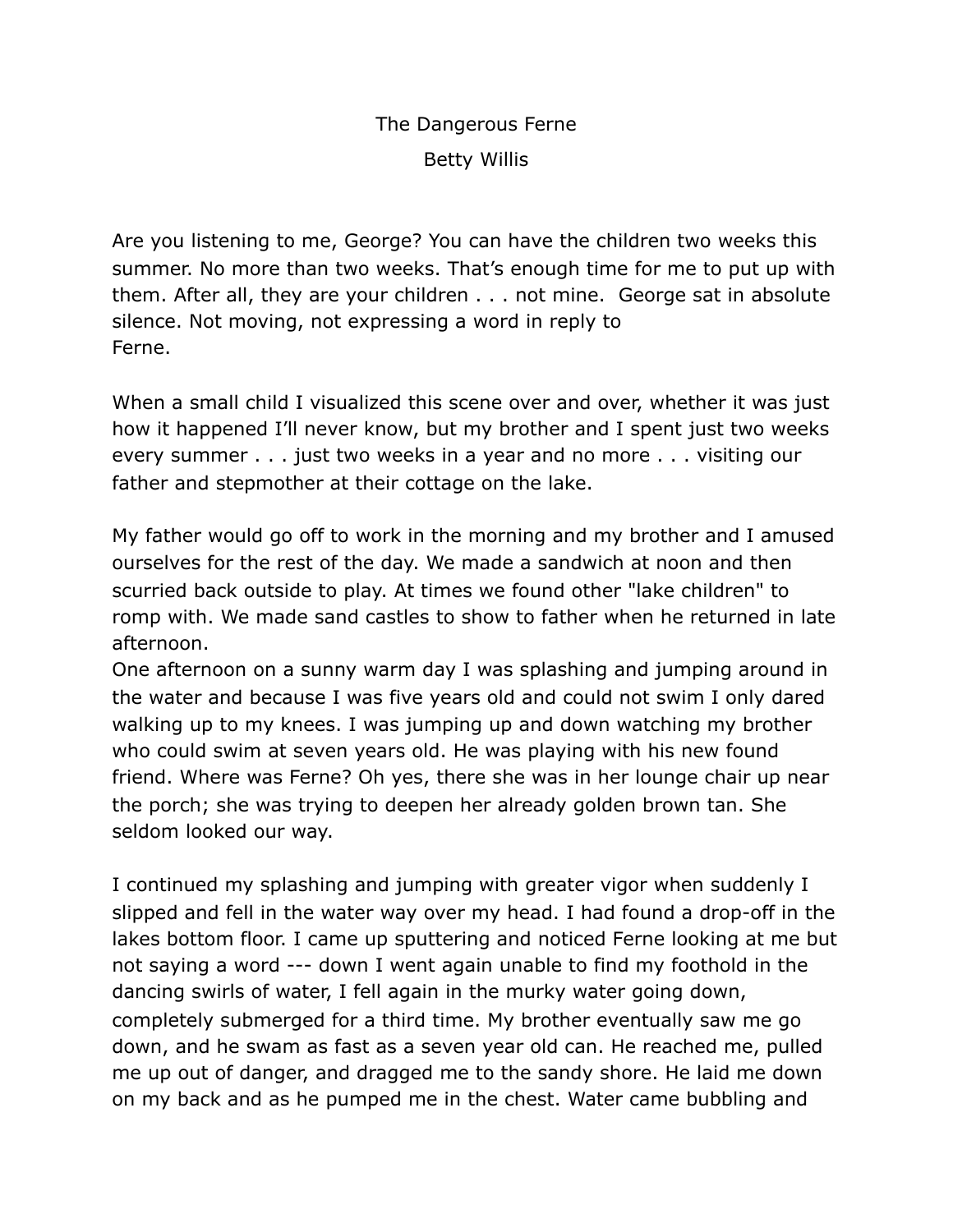## The Dangerous Ferne Betty Willis

Are you listening to me, George? You can have the children two weeks this summer. No more than two weeks. That's enough time for me to put up with them. After all, they are your children . . . not mine. George sat in absolute silence. Not moving, not expressing a word in reply to Ferne.

When a small child I visualized this scene over and over, whether it was just how it happened I'll never know, but my brother and I spent just two weeks every summer . . . just two weeks in a year and no more . . . visiting our father and stepmother at their cottage on the lake.

My father would go off to work in the morning and my brother and I amused ourselves for the rest of the day. We made a sandwich at noon and then scurried back outside to play. At times we found other "lake children" to romp with. We made sand castles to show to father when he returned in late afternoon.

One afternoon on a sunny warm day I was splashing and jumping around in the water and because I was five years old and could not swim I only dared walking up to my knees. I was jumping up and down watching my brother who could swim at seven years old. He was playing with his new found friend. Where was Ferne? Oh yes, there she was in her lounge chair up near the porch; she was trying to deepen her already golden brown tan. She seldom looked our way.

I continued my splashing and jumping with greater vigor when suddenly I slipped and fell in the water way over my head. I had found a drop-off in the lakes bottom floor. I came up sputtering and noticed Ferne looking at me but not saying a word --- down I went again unable to find my foothold in the dancing swirls of water, I fell again in the murky water going down, completely submerged for a third time. My brother eventually saw me go down, and he swam as fast as a seven year old can. He reached me, pulled me up out of danger, and dragged me to the sandy shore. He laid me down on my back and as he pumped me in the chest. Water came bubbling and